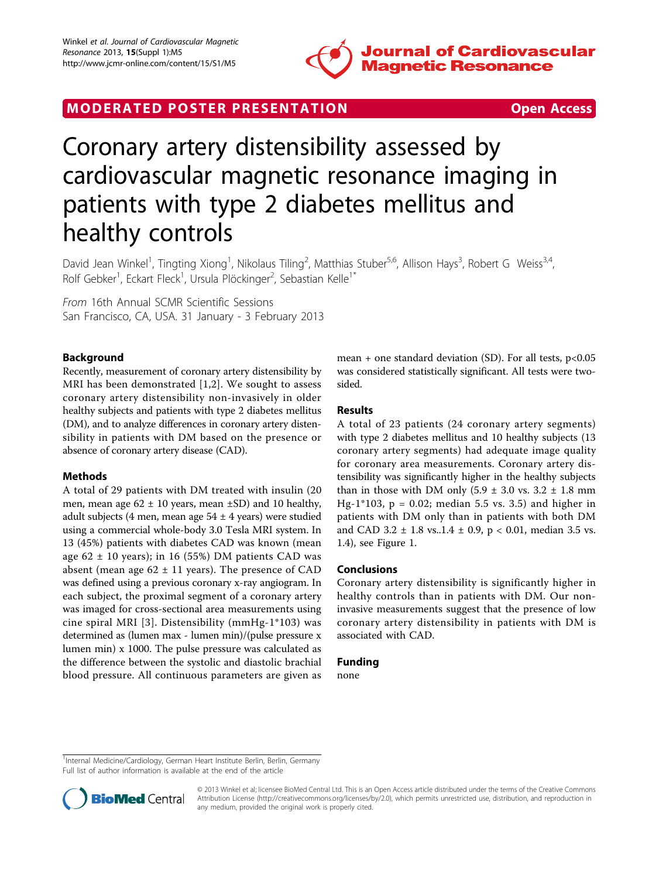

# MODERATED POSTER PRESENTATION **SECURE 20 SET ACCESS**



# Coronary artery distensibility assessed by cardiovascular magnetic resonance imaging in patients with type 2 diabetes mellitus and healthy controls

David Jean Winkel<sup>1</sup>, Tingting Xiong<sup>1</sup>, Nikolaus Tiling<sup>2</sup>, Matthias Stuber<sup>5,6</sup>, Allison Hays<sup>3</sup>, Robert G Weiss<sup>3,4</sup>, Rolf Gebker<sup>1</sup>, Eckart Fleck<sup>1</sup>, Ursula Plöckinger<sup>2</sup>, Sebastian Kelle<sup>1\*</sup>

From 16th Annual SCMR Scientific Sessions San Francisco, CA, USA. 31 January - 3 February 2013

# Background

Recently, measurement of coronary artery distensibility by MRI has been demonstrated [[1,2](#page-1-0)]. We sought to assess coronary artery distensibility non-invasively in older healthy subjects and patients with type 2 diabetes mellitus (DM), and to analyze differences in coronary artery distensibility in patients with DM based on the presence or absence of coronary artery disease (CAD).

# Methods

A total of 29 patients with DM treated with insulin (20 men, mean age  $62 \pm 10$  years, mean  $\pm$ SD) and 10 healthy, adult subjects (4 men, mean age  $54 \pm 4$  years) were studied using a commercial whole-body 3.0 Tesla MRI system. In 13 (45%) patients with diabetes CAD was known (mean age  $62 \pm 10$  years); in 16 (55%) DM patients CAD was absent (mean age  $62 \pm 11$  years). The presence of CAD was defined using a previous coronary x-ray angiogram. In each subject, the proximal segment of a coronary artery was imaged for cross-sectional area measurements using cine spiral MRI [[3](#page-1-0)]. Distensibility (mmHg-1\*103) was determined as (lumen max - lumen min)/(pulse pressure x lumen min) x 1000. The pulse pressure was calculated as the difference between the systolic and diastolic brachial blood pressure. All continuous parameters are given as

mean + one standard deviation (SD). For all tests,  $p<0.05$ was considered statistically significant. All tests were twosided.

# Results

A total of 23 patients (24 coronary artery segments) with type 2 diabetes mellitus and 10 healthy subjects (13 coronary artery segments) had adequate image quality for coronary area measurements. Coronary artery distensibility was significantly higher in the healthy subjects than in those with DM only  $(5.9 \pm 3.0 \text{ vs. } 3.2 \pm 1.8 \text{ mm})$ Hg-1\*103,  $p = 0.02$ ; median 5.5 vs. 3.5) and higher in patients with DM only than in patients with both DM and CAD 3.2  $\pm$  1.8 vs. 1.4  $\pm$  0.9, p < 0.01, median 3.5 vs. 1.4), see Figure [1.](#page-1-0)

#### Conclusions

Coronary artery distensibility is significantly higher in healthy controls than in patients with DM. Our noninvasive measurements suggest that the presence of low coronary artery distensibility in patients with DM is associated with CAD.

#### Funding

none

<sup>1</sup>Internal Medicine/Cardiology, German Heart Institute Berlin, Berlin, Germany Full list of author information is available at the end of the article



© 2013 Winkel et al; licensee BioMed Central Ltd. This is an Open Access article distributed under the terms of the Creative Commons Attribution License [\(http://creativecommons.org/licenses/by/2.0](http://creativecommons.org/licenses/by/2.0)), which permits unrestricted use, distribution, and reproduction in any medium, provided the original work is properly cited.